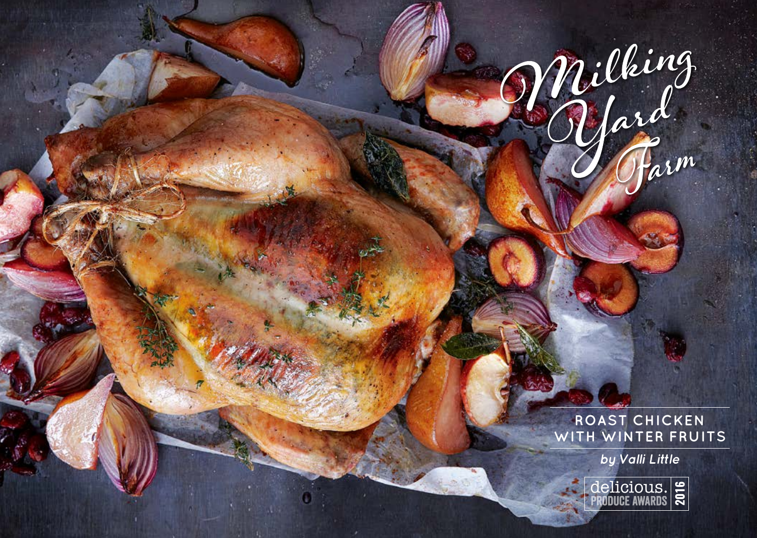**ROAST CHICKEN WITH WINTER FRUITS**

Milking<br>Yard

**by Valli Little**